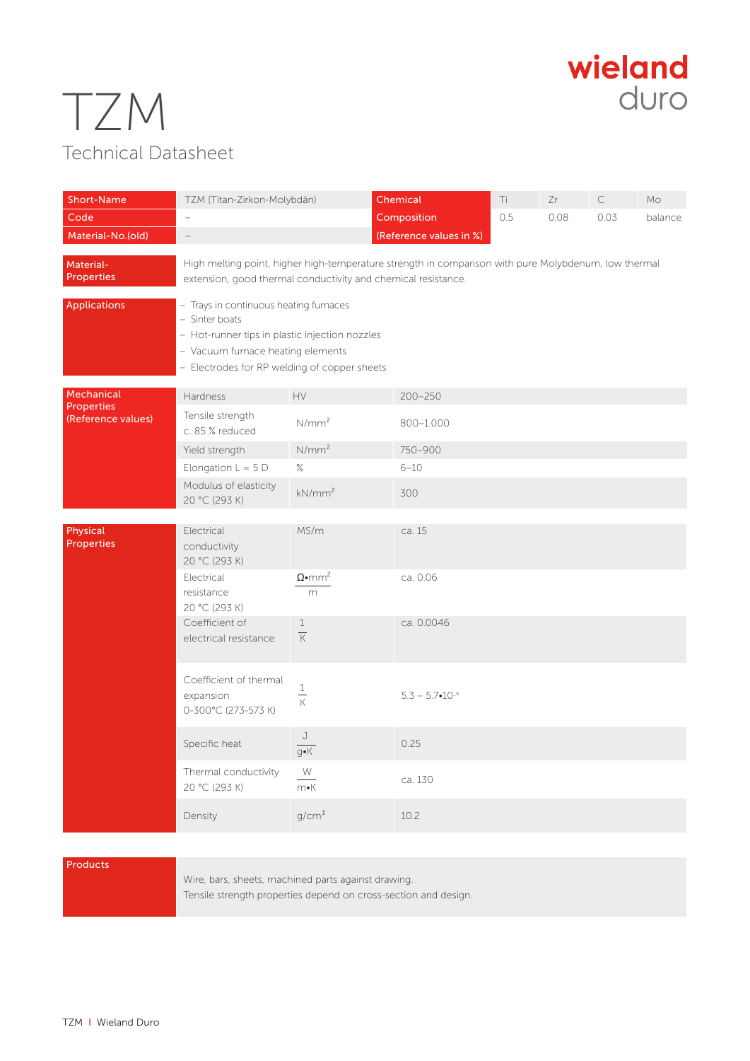## TZM Technical Datasheet



| <b>Short-Name</b><br>Code                             | TZM (Titan-Zirkon-Molybdän)<br>$\overline{\phantom{0}}$                                                                                                                                         |                                | Chemical<br>Composition   | Ti<br>0.5 | Zr<br>0.08 | C<br>0.03 | Mo<br>balance |
|-------------------------------------------------------|-------------------------------------------------------------------------------------------------------------------------------------------------------------------------------------------------|--------------------------------|---------------------------|-----------|------------|-----------|---------------|
| Material-No.(old)                                     | $\qquad \qquad -$                                                                                                                                                                               |                                | (Reference values in %)   |           |            |           |               |
| Material-<br><b>Properties</b>                        | High melting point, higher high-temperature strength in comparison with pure Molybdenum, low thermal<br>extension, good thermal conductivity and chemical resistance.                           |                                |                           |           |            |           |               |
| <b>Applications</b>                                   | - Trays in continuous heating furnaces<br>- Sinter boats<br>- Hot-runner tips in plastic injection nozzles<br>- Vacuum furnace heating elements<br>- Electrodes for RP welding of copper sheets |                                |                           |           |            |           |               |
| Mechanical<br><b>Properties</b><br>(Reference values) | Hardness                                                                                                                                                                                        | HV                             | $200 - 250$               |           |            |           |               |
|                                                       | Tensile strength<br>c. 85 % reduced                                                                                                                                                             | N/mm <sup>2</sup>              | 800-1.000                 |           |            |           |               |
|                                                       | Yield strength                                                                                                                                                                                  | $N/mm^2$                       | 750-900                   |           |            |           |               |
|                                                       | Elongation $L = 5D$                                                                                                                                                                             | $\%$                           | $6 - 10$                  |           |            |           |               |
|                                                       | Modulus of elasticity<br>20 °C (293 K)                                                                                                                                                          | kN/mm <sup>2</sup>             | 300                       |           |            |           |               |
| Physical<br><b>Properties</b>                         | Electrical<br>conductivity<br>20 °C (293 K)                                                                                                                                                     | MS/m                           | ca. 15                    |           |            |           |               |
|                                                       | Electrical<br>resistance<br>20 °C (293 K)                                                                                                                                                       | $\Omega$ •mm <sup>2</sup><br>m | ca. 0.06                  |           |            |           |               |
|                                                       | Coefficient of<br>electrical resistance                                                                                                                                                         | $\,1\,$<br>$\overline{K}$      | ca. 0.0046                |           |            |           |               |
|                                                       | Coefficient of thermal<br>expansion<br>0-300°C (273-573 K)                                                                                                                                      | $\frac{1}{K}$                  | $5.3 - 5.7 \cdot 10^{-6}$ |           |            |           |               |
|                                                       | Specific heat                                                                                                                                                                                   | J<br>$\overline{q\bullet K}$   | 0.25                      |           |            |           |               |
|                                                       | Thermal conductivity<br>20 °C (293 K)                                                                                                                                                           | W<br>$m\nu K$                  | ca. 130                   |           |            |           |               |
|                                                       | Density                                                                                                                                                                                         | $g/cm^3$                       | 10.2                      |           |            |           |               |

## Products

Wire, bars, sheets, machined parts against drawing. Tensile strength properties depend on cross-section and design.